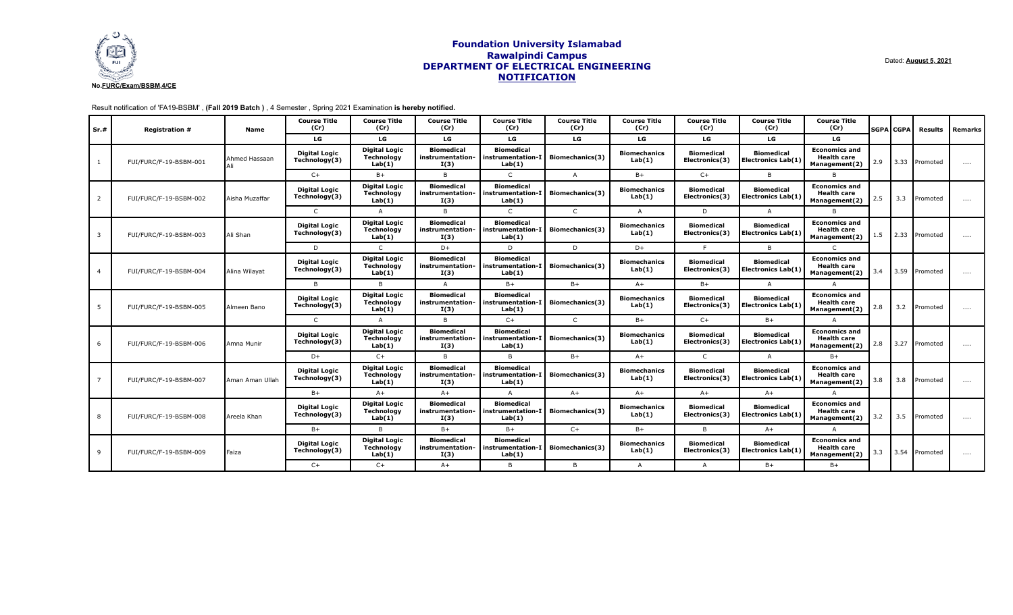

Result notification of 'FA19-BSBM' , **(Fall 2019 Batch )** , 4 Semester , Spring 2021 Examination **is hereby notified.**

| Sr.# | <b>Registration #</b>  | Name            | <b>Course Title</b><br>(Cr)           | <b>Course Title</b><br>(Cr)                         | <b>Course Title</b><br>(Cr)                   | <b>Course Title</b><br>(Cr)                                          | <b>Course Title</b><br>(Cr) | <b>Course Title</b><br>(Cr)   | <b>Course Title</b><br>(Cr)         | <b>Course Title</b><br>(Cr)                    | <b>Course Title</b><br>(Cr)                                 |     | <b>SGPA CGPA</b> | Results           | Remarks  |
|------|------------------------|-----------------|---------------------------------------|-----------------------------------------------------|-----------------------------------------------|----------------------------------------------------------------------|-----------------------------|-------------------------------|-------------------------------------|------------------------------------------------|-------------------------------------------------------------|-----|------------------|-------------------|----------|
|      |                        |                 | LG                                    | LG                                                  | LG                                            | LG                                                                   | LG                          | LG                            | LG                                  | LG                                             | LG                                                          |     |                  |                   |          |
|      | FUI/FURC/F-19-BSBM-001 | Ahmed Hassaan   | <b>Digital Logic</b><br>Technology(3) | <b>Digital Logic</b><br><b>Technology</b><br>Lab(1) | <b>Biomedical</b><br>instrumentation-<br>I(3) | <b>Biomedical</b><br>instrumentation-I<br>Lab(1)                     | Biomechanics(3)             | <b>Biomechanics</b><br>Lab(1) | <b>Biomedical</b><br>Electronics(3) | <b>Biomedical</b><br><b>Electronics Lab(1)</b> | <b>Economics and</b><br><b>Health care</b><br>Management(2) | 2.9 |                  | 3.33 Promoted     | $\cdots$ |
|      |                        |                 | $C+$                                  | $B+$                                                | B.                                            | $\mathsf{C}$                                                         | $\overline{A}$              | $B+$                          | $C+$                                | B.                                             | R.                                                          |     |                  |                   |          |
| 2    | FUI/FURC/F-19-BSBM-002 | Aisha Muzaffar  | <b>Digital Logic</b><br>Technology(3) | <b>Digital Logic</b><br><b>Technology</b><br>Lab(1) | <b>Biomedical</b><br>instrumentation-<br>I(3) | <b>Biomedical</b><br>instrumentation-I<br>Lab(1)                     | <b>Biomechanics(3)</b>      | <b>Biomechanics</b><br>Lab(1) | <b>Biomedical</b><br>Electronics(3) | <b>Biomedical</b><br>Electronics Lab(1)        | <b>Economics and</b><br><b>Health care</b><br>Management(2) | 2.5 | 3.3              | Promoted          | $\cdots$ |
|      |                        |                 | $\mathsf{C}$                          | A                                                   | B                                             | $\mathsf{C}$                                                         | $\mathsf{C}$                | $\mathsf{A}$                  | D                                   | A                                              | B                                                           |     |                  |                   |          |
| 3    | FUI/FURC/F-19-BSBM-003 | Ali Shan        | <b>Digital Logic</b><br>Technology(3) | <b>Digital Logic</b><br>Technology<br>Lab(1)        | <b>Biomedical</b><br>instrumentation-<br>I(3) | <b>Biomedical</b><br>instrumentation-I<br>Lab(1)                     | <b>Biomechanics(3)</b>      | <b>Biomechanics</b><br>Lab(1) | <b>Biomedical</b><br>Electronics(3) | <b>Biomedical</b><br><b>Electronics Lab(1)</b> | <b>Economics and</b><br><b>Health care</b><br>Management(2) | 1.5 |                  | 2.33 Promoted     | $\cdots$ |
|      |                        |                 | D                                     | $\mathsf{C}$                                        | $D+$                                          | D                                                                    | D                           | $D+$                          | $\mathbf{r}$                        | B.                                             | $\mathsf{C}$                                                |     |                  |                   |          |
| 4    | FUI/FURC/F-19-BSBM-004 | Alina Wilavat   | <b>Digital Logic</b><br>Technology(3) | <b>Digital Logic</b><br><b>Technology</b><br>Lab(1) | <b>Biomedical</b><br>instrumentation-<br>I(3) | <b>Biomedical</b><br>  instrumentation-I   Biomechanics(3)<br>Lab(1) |                             | <b>Biomechanics</b><br>Lab(1) | <b>Biomedical</b><br>Electronics(3) | <b>Biomedical</b><br>Electronics Lab(1)        | <b>Economics and</b><br><b>Health care</b><br>Management(2) | 3.4 |                  | 3.59 Promoted     | $\cdots$ |
|      |                        |                 | B.                                    | <sub>B</sub>                                        | $\Delta$                                      | $B+$                                                                 | $B+$                        | $A+$                          | $B+$                                | A                                              | $\mathsf{A}$                                                |     |                  |                   |          |
| 5    | FUI/FURC/F-19-BSBM-005 | Almeen Bano     | <b>Digital Logic</b><br>Technology(3) | <b>Digital Logic</b><br>Technology<br>Lab(1)        | <b>Biomedical</b><br>instrumentation-<br>I(3) | <b>Biomedical</b><br>instrumentation-I<br>Lab(1)                     | <b>Biomechanics(3)</b>      | <b>Biomechanics</b><br>Lab(1) | <b>Biomedical</b><br>Electronics(3) | <b>Biomedical</b><br>Electronics Lab(1)        | <b>Economics and</b><br><b>Health care</b><br>Management(2) | 2.8 | 3.2              | Promoted          | $\cdots$ |
|      |                        |                 | $\mathsf{C}$                          | Δ                                                   | $\mathsf{B}$                                  | $C+$                                                                 | $\mathsf{C}$                | $B+$                          | $C+$                                | $B+$                                           | Δ                                                           |     |                  |                   |          |
| 6    | FUI/FURC/F-19-BSBM-006 | Amna Munir      | <b>Digital Logic</b><br>Technology(3) | <b>Digital Logic</b><br>Technology<br>Lab(1)        | <b>Biomedical</b><br>instrumentation-<br>I(3) | <b>Biomedical</b><br>instrumentation-I<br>Lab(1)                     | Biomechanics(3)             | <b>Biomechanics</b><br>Lab(1) | <b>Biomedical</b><br>Electronics(3) | <b>Biomedical</b><br>Electronics Lab(1)        | <b>Economics and</b><br><b>Health care</b><br>Management(2) | 2.8 |                  | 3.27 Promoted     | $\cdots$ |
|      |                        |                 | $D+$                                  | $C+$                                                | B.                                            | B                                                                    | $B+$                        | $A+$                          | $\subset$                           | $\Delta$                                       | $B+$                                                        |     |                  |                   |          |
|      | FUI/FURC/F-19-BSBM-007 | Aman Aman Ullah | <b>Digital Logic</b><br>Technology(3) | <b>Digital Logic</b><br><b>Technology</b><br>Lab(1) | <b>Biomedical</b><br>instrumentation-<br>I(3) | <b>Biomedical</b><br>instrumentation-I<br>Lab(1)                     | Biomechanics(3)             | <b>Biomechanics</b><br>Lab(1) | <b>Biomedical</b><br>Electronics(3) | <b>Biomedical</b><br><b>Electronics Lab(1)</b> | <b>Economics and</b><br><b>Health care</b><br>Management(2) | 3.8 | 3.8              | <b>I</b> Promoted | $\cdots$ |
|      |                        |                 | $B+$                                  | $A+$                                                | $A+$                                          | A                                                                    | $A+$                        | $A+$                          | $A+$                                | $A+$                                           | A                                                           |     |                  |                   |          |
| 8    | FUI/FURC/F-19-BSBM-008 | Areela Khan     | <b>Digital Logic</b><br>Technology(3) | <b>Digital Logic</b><br><b>Technology</b><br>Lab(1) | <b>Biomedical</b><br>instrumentation-<br>I(3) | <b>Biomedical</b><br>instrumentation-I<br>Lab(1)                     | <b>Biomechanics(3)</b>      | <b>Biomechanics</b><br>Lab(1) | <b>Biomedical</b><br>Electronics(3) | <b>Biomedical</b><br><b>Electronics Lab(1)</b> | <b>Economics and</b><br><b>Health care</b><br>Management(2) | 3.2 | 3.5              | <b>I</b> Promoted | $\cdots$ |
|      |                        |                 | $B+$                                  | <b>B</b>                                            | $B+$                                          | $B+$                                                                 | $C+$                        | $B+$                          | B                                   | $A+$                                           | A                                                           |     |                  |                   |          |
| 9    | FUI/FURC/F-19-BSBM-009 | Faiza           | <b>Digital Logic</b><br>Technology(3) | <b>Digital Logic</b><br>Technology<br>Lab(1)        | <b>Biomedical</b><br>instrumentation-<br>I(3) | <b>Biomedical</b><br>instrumentation-I<br>Lab(1)                     | <b>Biomechanics(3)</b>      | <b>Biomechanics</b><br>Lab(1) | <b>Biomedical</b><br>Electronics(3) | <b>Biomedical</b><br>Electronics Lab(1)        | <b>Economics and</b><br><b>Health care</b><br>Management(2) | 3.3 |                  | 3.54 Promoted     | $\cdots$ |
|      |                        |                 | $C+$                                  | $C+$                                                | $A+$                                          | B                                                                    | B                           | $\mathsf{A}$                  | $\mathsf{A}$                        | $B+$                                           | $B+$                                                        |     |                  |                   |          |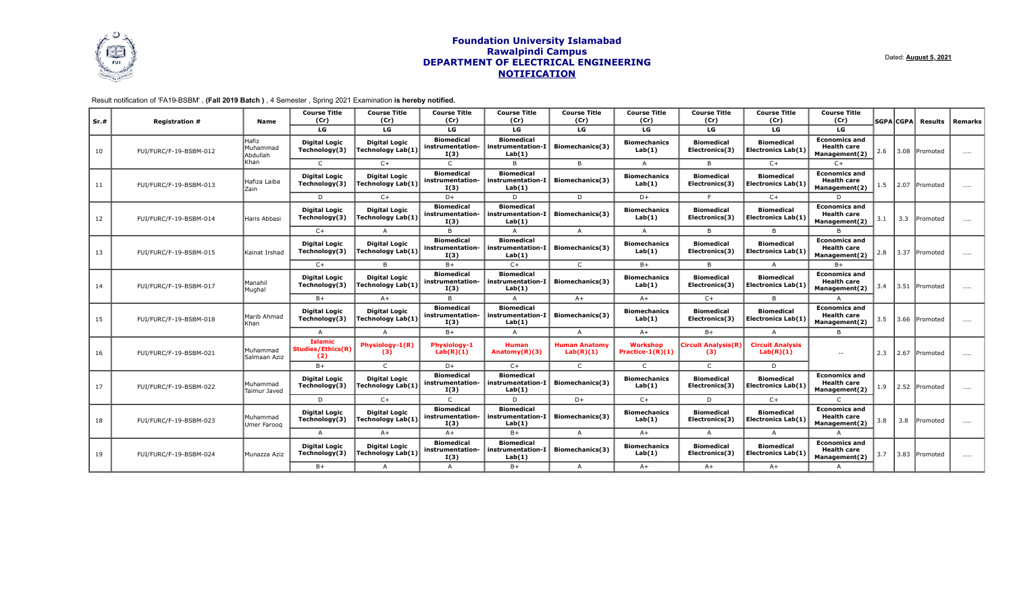

# Result notification of 'FA19-BSBM' , **(Fall 2019 Batch )** , 4 Semester , Spring 2021 Examination **is hereby notified.**

| Sr.# | <b>Registration #</b>  | <b>Name</b>                   | <b>Course Title</b><br>(Cr)                | <b>Course Title</b><br>(Cr)                      | <b>Course Title</b><br>(Cr)                   | <b>Course Title</b><br>(Cr)                      | <b>Course Title</b><br>(Cr)       | <b>Course Title</b><br>(Cr)     | <b>Course Title</b><br>(Cr)         | <b>Course Title</b><br>(Cr)                    | <b>Course Title</b><br>(Cr)                                 |     | <b>SGPA</b> CGPA | Results       | Remarks  |
|------|------------------------|-------------------------------|--------------------------------------------|--------------------------------------------------|-----------------------------------------------|--------------------------------------------------|-----------------------------------|---------------------------------|-------------------------------------|------------------------------------------------|-------------------------------------------------------------|-----|------------------|---------------|----------|
|      |                        |                               | LG                                         | LG                                               | LG                                            | LG                                               | LG                                | LG                              | LG                                  | LG                                             | LG                                                          |     |                  |               |          |
| 10   | FUI/FURC/F-19-BSBM-012 | Hafiz<br>Muhammac<br>Abdullah | <b>Digital Logic</b><br>Technology(3)      | <b>Digital Logic</b><br><b>Technology Lab(1)</b> | <b>Biomedical</b><br>instrumentation-<br>I(3) | <b>Biomedical</b><br>instrumentation-I<br>Lab(1) | Biomechanics(3)                   | <b>Biomechanics</b><br>Lab(1)   | <b>Biomedical</b><br>Electronics(3) | <b>Biomedical</b><br><b>Electronics Lab(1)</b> | <b>Economics and</b><br><b>Health care</b><br>Management(2) | 2.6 |                  | 3.08 Promoted | $\cdots$ |
|      |                        | Khan                          | $\mathsf{C}$                               | $C+$                                             | $\mathsf{C}$                                  | $\overline{B}$                                   | B                                 | $\overline{A}$                  | <sub>B</sub>                        | $C+$                                           | $C+$                                                        |     |                  |               |          |
| 11   | FUI/FURC/F-19-BSBM-013 | Hafiza Laiba<br>Zain          | <b>Digital Logic</b><br>Technology(3)      | <b>Digital Logic</b><br>Technology Lab(1)        | <b>Biomedical</b><br>instrumentation-<br>I(3) | <b>Biomedical</b><br>instrumentation-I<br>Lab(1) | Biomechanics(3)                   | <b>Biomechanics</b><br>Lab(1)   | <b>Biomedical</b><br>Electronics(3) | <b>Biomedical</b><br><b>Electronics Lab(1)</b> | <b>Economics and</b><br><b>Health care</b><br>Management(2) | 1.5 |                  | 2.07 Promoted | $\cdots$ |
|      |                        |                               | D                                          | $C+$                                             | $D+$                                          | D                                                | D                                 | $D+$                            |                                     | $C+$                                           | D                                                           |     |                  |               |          |
| 12   | FUI/FURC/F-19-BSBM-014 | Haris Abbas                   | <b>Digital Logic</b><br>Technology(3)      | <b>Digital Logic</b><br>Technology Lab(1)        | <b>Biomedical</b><br>instrumentation-<br>I(3) | <b>Biomedical</b><br>instrumentation-I<br>Lab(1) | Biomechanics(3)                   | <b>Biomechanics</b><br>Lab(1)   | <b>Biomedical</b><br>Electronics(3) | <b>Biomedical</b><br><b>Electronics Lab(1)</b> | <b>Economics and</b><br><b>Health care</b><br>Management(2) | 3.1 | 3.3              | Promoted      | $\cdots$ |
|      |                        |                               | $C+$                                       |                                                  | B                                             | $\Delta$                                         | $\mathsf{A}$                      | $\mathsf{A}$                    | <sub>R</sub>                        | <sub>R</sub>                                   |                                                             |     |                  |               |          |
| 13   | FUI/FURC/F-19-BSBM-015 | Kainat Irshac                 | <b>Digital Logic</b><br>Technology(3)      | <b>Digital Logic</b><br><b>Technology Lab(1)</b> | <b>Biomedical</b><br>instrumentation-<br>I(3) | <b>Biomedical</b><br>instrumentation-I<br>Lab(1) | Biomechanics(3)                   | <b>Biomechanics</b><br>Lab(1)   | <b>Biomedical</b><br>Electronics(3) | <b>Biomedical</b><br><b>Electronics Lab(1)</b> | <b>Economics and</b><br><b>Health care</b><br>Management(2) | 2.8 |                  | 3.37 Promoted | $\cdots$ |
|      |                        |                               | $C+$                                       | <sub>R</sub>                                     | $B+$                                          | $C+$                                             | $\mathsf{C}$                      | $B+$                            | B                                   | $\mathsf{A}$                                   | $B+$                                                        |     |                  |               |          |
| 14   | FUI/FURC/F-19-BSBM-017 | Manahil<br>Mughal             | <b>Digital Logic</b><br>Technology(3)      | <b>Digital Logic</b><br>Technology Lab(1)        | <b>Biomedical</b><br>instrumentation-<br>I(3) | <b>Biomedical</b><br>instrumentation-I<br>Lab(1) | Biomechanics(3)                   | <b>Biomechanics</b><br>Lab(1)   | <b>Biomedical</b><br>Electronics(3) | <b>Biomedical</b><br><b>Electronics Lab(1)</b> | <b>Economics and</b><br><b>Health care</b><br>Management(2) | 3.4 |                  | 3.51 Promoted | $\cdots$ |
|      |                        |                               | $B+$                                       | $A+$                                             | $\mathsf{B}$                                  | A                                                | $A+$                              | $A+$                            | $C+$                                | B.                                             |                                                             |     |                  |               |          |
| 15   | FUI/FURC/F-19-BSBM-018 | Marib Ahmad<br>Khan           | <b>Digital Logic</b><br>Technology(3)      | <b>Digital Logic</b><br>Technology Lab(1)        | <b>Biomedical</b><br>instrumentation-<br>I(3) | <b>Biomedical</b><br>instrumentation-I<br>Lab(1) | Biomechanics(3)                   | <b>Biomechanics</b><br>Lab(1)   | <b>Biomedical</b><br>Electronics(3) | <b>Biomedical</b><br><b>Electronics Lab(1)</b> | <b>Economics and</b><br><b>Health care</b><br>Management(2) | 3.5 |                  | 3.66 Promoted | $\cdots$ |
|      |                        |                               | $\overline{A}$                             | $\Delta$                                         | $B+$                                          | $\overline{A}$                                   | $\overline{A}$                    | $A+$                            | $B+$                                | $\overline{A}$                                 | B                                                           |     |                  |               |          |
| 16   | FUI/FURC/F-19-BSBM-021 | Muhammad<br>Salmaan Aziz      | <b>Islamic</b><br>Studies/Ethics(R)<br>(2) | Physiology-1(R)<br>(3)                           | Physiology-1<br>Lab(R)(1)                     | <b>Human</b><br>Anatomy $(R)(3)$                 | <b>Human Anatomy</b><br>Lab(R)(1) | Workshop<br>Practice- $1(R)(1)$ | <b>Circuit Analysis (R)</b><br>(3)  | <b>Circuit Analysis</b><br>Lab(R)(1)           | $\sim$ $-$                                                  | 2.3 |                  | 2.67 Promoted | $\cdots$ |
|      |                        |                               | $B+$                                       | $\Gamma$                                         | $D+$                                          | $C+$                                             | $\mathsf{C}$                      | $\mathsf{C}$                    | $\Gamma$                            | D                                              |                                                             |     |                  |               |          |
| 17   | FUI/FURC/F-19-BSBM-022 | Muhammad<br>Taimur Javed      | <b>Digital Logic</b><br>Technology(3)      | <b>Digital Logic</b><br>Technology Lab(1)        | <b>Biomedical</b><br>instrumentation-<br>I(3) | <b>Biomedical</b><br>instrumentation-I<br>Lab(1) | Biomechanics(3)                   | <b>Biomechanics</b><br>Lab(1)   | <b>Biomedical</b><br>Electronics(3) | <b>Biomedical</b><br><b>Electronics Lab(1)</b> | <b>Economics and</b><br><b>Health care</b><br>Management(2) | 1.9 |                  | 2.52 Promoted | $\cdots$ |
|      |                        |                               | D                                          | $C+$                                             | $\mathsf{C}$                                  | $\mathsf{D}$                                     | $D+$                              | $C+$                            | D                                   | $C+$                                           |                                                             |     |                  |               |          |
| 18   | FUI/FURC/F-19-BSBM-023 | Muhammad<br>Umer Faroog       | <b>Digital Logic</b><br>Technology(3)      | <b>Digital Logic</b><br>Technology Lab(1)        | <b>Biomedical</b><br>instrumentation-<br>I(3) | <b>Biomedical</b><br>instrumentation-I<br>Lab(1) | Biomechanics(3)                   | <b>Biomechanics</b><br>Lab(1)   | <b>Biomedical</b><br>Electronics(3) | <b>Biomedical</b><br><b>Electronics Lab(1)</b> | <b>Economics and</b><br><b>Health care</b><br>Management(2) | 3.8 | 3.8              | Promoted      | $\cdots$ |
|      |                        |                               | $\Delta$                                   | $A+$                                             | $A+$                                          | $B+$                                             | A                                 | $A+$                            | A                                   | $\mathsf{A}$                                   |                                                             |     |                  |               |          |
| 19   | FUI/FURC/F-19-BSBM-024 | Munazza Aziz                  | <b>Digital Logic</b><br>Technology(3)      | <b>Digital Logic</b><br>Technology Lab(1)        | <b>Biomedical</b><br>instrumentation-<br>I(3) | <b>Biomedical</b><br>instrumentation-I<br>Lab(1) | Biomechanics(3)                   | <b>Biomechanics</b><br>Lab(1)   | <b>Biomedical</b><br>Electronics(3) | <b>Biomedical</b><br>Electronics Lab(1)        | <b>Economics and</b><br><b>Health care</b><br>Management(2) | 3.7 |                  | 3.83 Promoted | $\cdots$ |
|      |                        |                               | $B+$                                       | A                                                | $\mathsf{A}$                                  | $B+$                                             | $\mathsf{A}$                      | $A+$                            | $A+$                                | $A+$                                           | $\overline{A}$                                              |     |                  |               |          |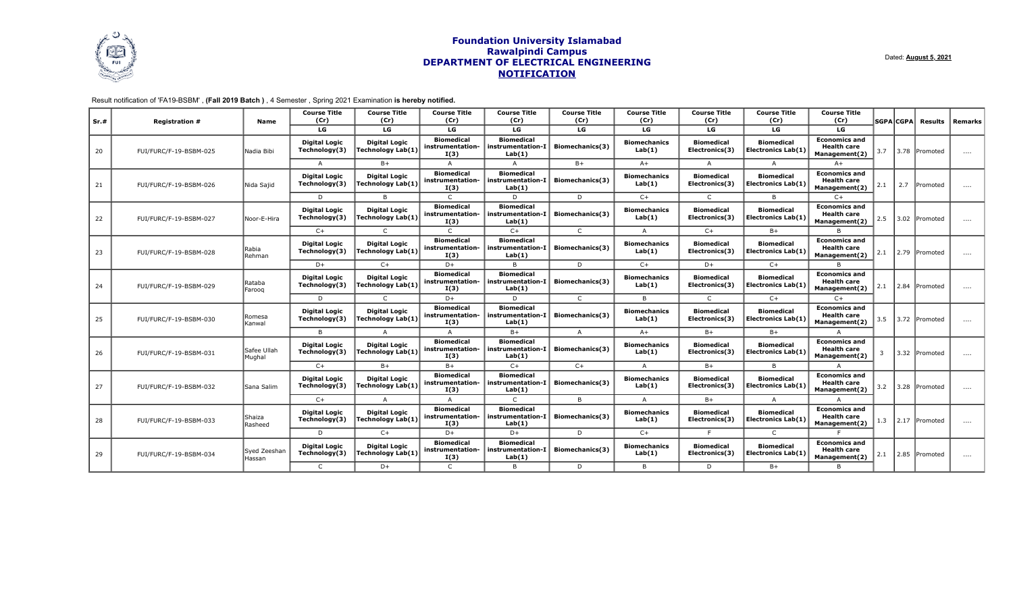

# Result notification of 'FA19-BSBM' , **(Fall 2019 Batch )** , 4 Semester , Spring 2021 Examination **is hereby notified.**

| Sr.# | <b>Registration #</b>                      | Name                   | <b>Course Title</b><br>(Cr)           | <b>Course Title</b><br>(Cr)               | <b>Course Title</b><br>(Cr)                   | <b>Course Title</b><br>(Cr)                      | <b>Course Title</b><br>(Cr)                      | <b>Course Title</b><br>(Cr)   | <b>Course Title</b><br>(Cr)         | <b>Course Title</b><br>(Cr)                    | <b>Course Title</b><br>(Cr)                                 |                                                             | <b>SGPA CGPA</b> | Results        | Remarks       |          |
|------|--------------------------------------------|------------------------|---------------------------------------|-------------------------------------------|-----------------------------------------------|--------------------------------------------------|--------------------------------------------------|-------------------------------|-------------------------------------|------------------------------------------------|-------------------------------------------------------------|-------------------------------------------------------------|------------------|----------------|---------------|----------|
|      |                                            |                        | LG                                    | LG                                        | LG                                            | LG                                               | LG                                               | LG                            | LG                                  | LG                                             | LG                                                          |                                                             |                  |                |               |          |
| 20   | FUI/FURC/F-19-BSBM-025                     | Nadia Bibi             | <b>Digital Logic</b><br>Technology(3) | <b>Digital Logic</b><br>Technology Lab(1) | <b>Biomedical</b><br>instrumentation-<br>I(3) | <b>Biomedical</b><br>instrumentation-I<br>Lab(1) | Biomechanics(3)                                  | <b>Biomechanics</b><br>Lab(1) | <b>Biomedical</b><br>Electronics(3) | <b>Biomedical</b><br><b>Electronics Lab(1)</b> | <b>Economics and</b><br><b>Health care</b><br>Management(2) | 3.7                                                         |                  | 3.78 lPromoted | $\cdots$      |          |
|      |                                            |                        | $\Delta$                              | $B+$                                      | $\Delta$                                      | A                                                | $B+$                                             | $A+$                          | A                                   | $\Delta$                                       | $A+$                                                        |                                                             |                  |                |               |          |
| 21   | FUI/FURC/F-19-BSBM-026                     | Nida Sajid             | <b>Digital Logic</b><br>Technology(3) | <b>Digital Logic</b><br>Technology Lab(1) | <b>Biomedical</b><br>instrumentation-<br>I(3) | <b>Biomedical</b><br>instrumentation-I<br>Lab(1) | Biomechanics(3)                                  | <b>Biomechanics</b><br>Lab(1) | <b>Biomedical</b><br>Electronics(3) | <b>Biomedical</b><br><b>Electronics Lab(1)</b> | <b>Economics and</b><br><b>Health care</b><br>Management(2) | 2.1                                                         | 2.7              | Promoted       | $\cdots$      |          |
|      |                                            |                        | D                                     | <b>B</b>                                  | $\mathsf{C}$                                  | D.                                               | D                                                | $C+$                          |                                     | B                                              | $C+$                                                        |                                                             |                  |                |               |          |
| 22   | FUI/FURC/F-19-BSBM-027                     | Noor-E-Hira            | <b>Digital Logic</b><br>Technology(3) | <b>Digital Logic</b><br>Technology Lab(1) | <b>Biomedical</b><br>instrumentation-<br>I(3) | <b>Biomedical</b><br>instrumentation-I<br>Lab(1) | Biomechanics(3)                                  | <b>Biomechanics</b><br>Lab(1) | <b>Biomedical</b><br>Electronics(3) | <b>Biomedical</b><br><b>Electronics Lab(1)</b> | <b>Economics and</b><br><b>Health care</b><br>Management(2) | 2.5                                                         |                  | 3.02 Promoted  | $\cdots$      |          |
|      |                                            |                        | $C+$                                  |                                           | $\mathsf{C}$                                  | $C+$                                             | $\mathsf{C}$                                     | A                             | $C+$                                | $B+$                                           |                                                             |                                                             |                  |                |               |          |
| 23   | FUI/FURC/F-19-BSBM-028                     | Rabia<br>Rehman        | <b>Digital Logic</b><br>Technology(3) | <b>Digital Logic</b><br>Technology Lab(1) | <b>Biomedical</b><br>instrumentation-<br>I(3) | <b>Biomedical</b><br>instrumentation-I<br>Lab(1) | Biomechanics(3)                                  | <b>Biomechanics</b><br>Lab(1) | <b>Biomedical</b><br>Electronics(3) | <b>Biomedical</b><br><b>Electronics Lab(1)</b> | <b>Economics and</b><br><b>Health care</b><br>Management(2) | 2.1                                                         |                  | 2.79 Promoted  | $\cdots$      |          |
|      |                                            |                        | $D+$                                  | $C+$                                      | $D+$                                          | $\overline{B}$                                   | D                                                | $C+$                          | $D+$                                | $C+$                                           |                                                             |                                                             |                  |                |               |          |
| 24   | FUI/FURC/F-19-BSBM-029                     | Rataba<br>Farooq       | <b>Digital Logic</b><br>Technology(3) | <b>Digital Logic</b><br>Technology Lab(1) | <b>Biomedical</b><br>instrumentation-<br>I(3) | <b>Biomedical</b><br>instrumentation-I<br>Lab(1) | Biomechanics(3)                                  | <b>Biomechanics</b><br>Lab(1) | <b>Biomedical</b><br>Electronics(3) | <b>Biomedical</b><br><b>Electronics Lab(1)</b> | <b>Economics and</b><br><b>Health care</b><br>Management(2) | 2.1                                                         |                  | 2.84 Promoted  | $\cdots$      |          |
|      |                                            |                        | D                                     |                                           | D+                                            | D                                                | $\subset$                                        | $\overline{B}$                |                                     | $C+$                                           | $C+$                                                        |                                                             |                  |                |               |          |
| 25   | Romesa<br>FUI/FURC/F-19-BSBM-030<br>Kanwal |                        | <b>Digital Logic</b><br>Technology(3) | <b>Digital Logic</b><br>Technology Lab(1) | <b>Biomedical</b><br>instrumentation-<br>I(3) | <b>Biomedical</b><br>instrumentation-I<br>Lab(1) | Biomechanics(3)                                  | <b>Biomechanics</b><br>Lab(1) | <b>Biomedical</b><br>Electronics(3) | <b>Biomedical</b><br><b>Electronics Lab(1)</b> | <b>Economics and</b><br><b>Health care</b><br>Management(2) | 3.5                                                         |                  | 3.72 Promoted  | $\cdots$      |          |
|      |                                            |                        | $\overline{B}$                        |                                           | $\Delta$                                      | $B+$                                             | A                                                | $A+$                          | $B+$                                | $B+$                                           |                                                             |                                                             |                  |                |               |          |
| 26   | FUI/FURC/F-19-BSBM-031                     | Safee Ullah<br>Mughal  | <b>Digital Logic</b><br>Technology(3) | Digital Logic<br>Technology Lab(1)        | <b>Biomedical</b><br>instrumentation-<br>I(3) | <b>Biomedical</b><br>instrumentation-I<br>Lab(1) | Biomechanics(3)                                  | <b>Biomechanics</b><br>Lab(1) | <b>Biomedical</b><br>Electronics(3) | <b>Biomedical</b><br><b>Electronics Lab(1)</b> | <b>Economics and</b><br><b>Health care</b><br>Management(2) | $\overline{\mathbf{3}}$                                     |                  | 3.32 Promoted  | $\cdots$      |          |
|      |                                            |                        | $C+$                                  | $B+$                                      | $B+$                                          | $C+$                                             | $C+$                                             | $\Delta$                      | $B+$                                | B.                                             |                                                             |                                                             |                  |                |               |          |
| 27   | FUI/FURC/F-19-BSBM-032                     |                        | lSana Salim                           | <b>Digital Logic</b><br>Technology(3)     | <b>Digital Logic</b><br>Technology Lab(1)     | <b>Biomedical</b><br>instrumentation-<br>I(3)    | <b>Biomedical</b><br>instrumentation-I<br>Lab(1) | Biomechanics(3)               | <b>Biomechanics</b><br>Lab(1)       | <b>Biomedical</b><br>Electronics(3)            | <b>Biomedical</b><br><b>Electronics Lab(1)</b>              | <b>Economics and</b><br><b>Health care</b><br>Management(2) | 3.2              |                | 3.28 Promoted | $\cdots$ |
|      |                                            |                        | $C+$                                  |                                           | $\Delta$                                      | $\mathsf{C}$                                     | B.                                               | A                             | $B+$                                | $\overline{A}$                                 |                                                             |                                                             |                  |                |               |          |
| 28   | FUI/FURC/F-19-BSBM-033                     | Shaiza<br>Rasheed      | <b>Digital Logic</b><br>Technology(3) | <b>Digital Logic</b><br>Technology Lab(1) | <b>Biomedical</b><br>instrumentation-<br>I(3) | <b>Biomedical</b><br>instrumentation-I<br>Lab(1) | Biomechanics(3)                                  | <b>Biomechanics</b><br>Lab(1) | <b>Biomedical</b><br>Electronics(3) | <b>Biomedical</b><br><b>Electronics Lab(1)</b> | <b>Economics and</b><br><b>Health care</b><br>Management(2) | 1.3                                                         |                  | 2.17 Promoted  | $\cdots$      |          |
|      |                                            |                        | D                                     | $C+$                                      | $D+$                                          | $D+$                                             | D                                                | $C+$                          |                                     | $\mathsf{C}$                                   |                                                             |                                                             |                  |                |               |          |
| 29   | FUI/FURC/F-19-BSBM-034                     | Syed Zeeshar<br>Hassan | <b>Digital Logic</b><br>Technology(3) | <b>Digital Logic</b><br>Technology Lab(1) | <b>Biomedical</b><br>instrumentation-<br>I(3) | <b>Biomedical</b><br>instrumentation-I<br>Lab(1) | Biomechanics(3)                                  | <b>Biomechanics</b><br>Lab(1) | <b>Biomedical</b><br>Electronics(3) | <b>Biomedical</b><br><b>Electronics Lab(1)</b> | <b>Economics and</b><br><b>Health care</b><br>Management(2) | 2.1                                                         |                  | 2.85 Promoted  | $\cdots$      |          |
|      |                                            |                        | $\mathsf{C}$                          | $D+$                                      | $\mathsf{C}$                                  | B                                                | D                                                | B.                            | D                                   | $B+$                                           | $\overline{B}$                                              |                                                             |                  |                |               |          |